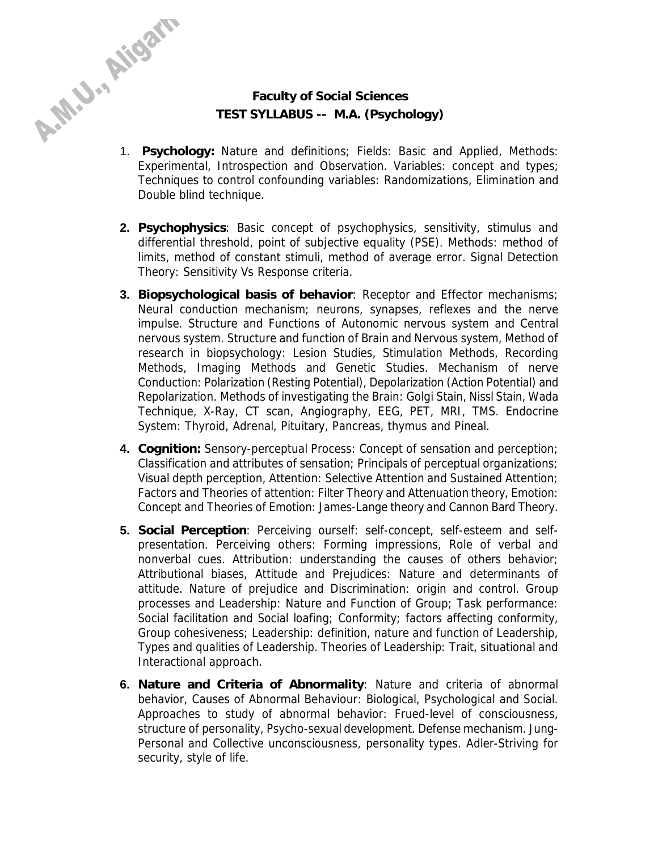## **Faculty of Social Sciences TEST SYLLABUS -- M.A. (Psychology)**

- 1. **Psychology:** Nature and definitions; Fields: Basic and Applied, Methods: Experimental, Introspection and Observation. Variables: concept and types; Techniques to control confounding variables: Randomizations, Elimination and Double blind technique.
- **2. Psychophysics**: Basic concept of psychophysics, sensitivity, stimulus and differential threshold, point of subjective equality (PSE). Methods: method of limits, method of constant stimuli, method of average error. Signal Detection Theory: Sensitivity Vs Response criteria.
- **3. Biopsychological basis of behavior**: Receptor and Effector mechanisms; Neural conduction mechanism; neurons, synapses, reflexes and the nerve impulse. Structure and Functions of Autonomic nervous system and Central nervous system. Structure and function of Brain and Nervous system, Method of research in biopsychology: Lesion Studies, Stimulation Methods, Recording Methods, Imaging Methods and Genetic Studies. Mechanism of nerve Conduction: Polarization (Resting Potential), Depolarization (Action Potential) and Repolarization. Methods of investigating the Brain: Golgi Stain, Nissl Stain, Wada Technique, X-Ray, CT scan, Angiography, EEG, PET, MRI, TMS. Endocrine System: Thyroid, Adrenal, Pituitary, Pancreas, thymus and Pineal.
- **4. Cognition:** Sensory-perceptual Process: Concept of sensation and perception; Classification and attributes of sensation; Principals of perceptual organizations; Visual depth perception, Attention: Selective Attention and Sustained Attention; Factors and Theories of attention: Filter Theory and Attenuation theory, Emotion: Concept and Theories of Emotion: James-Lange theory and Cannon Bard Theory.
- **5. Social Perception**: Perceiving ourself: self-concept, self-esteem and selfpresentation. Perceiving others: Forming impressions, Role of verbal and nonverbal cues. Attribution: understanding the causes of others behavior; Attributional biases, Attitude and Prejudices: Nature and determinants of attitude. Nature of prejudice and Discrimination: origin and control. Group processes and Leadership: Nature and Function of Group; Task performance: Social facilitation and Social loafing; Conformity; factors affecting conformity, Group cohesiveness; Leadership: definition, nature and function of Leadership, Types and qualities of Leadership. Theories of Leadership: Trait, situational and Interactional approach.
- **6. Nature and Criteria of Abnormality**: Nature and criteria of abnormal behavior, Causes of Abnormal Behaviour: Biological, Psychological and Social. Approaches to study of abnormal behavior: Frued-level of consciousness, structure of personality, Psycho-sexual development. Defense mechanism. Jung-Personal and Collective unconsciousness, personality types. Adler-Striving for security, style of life.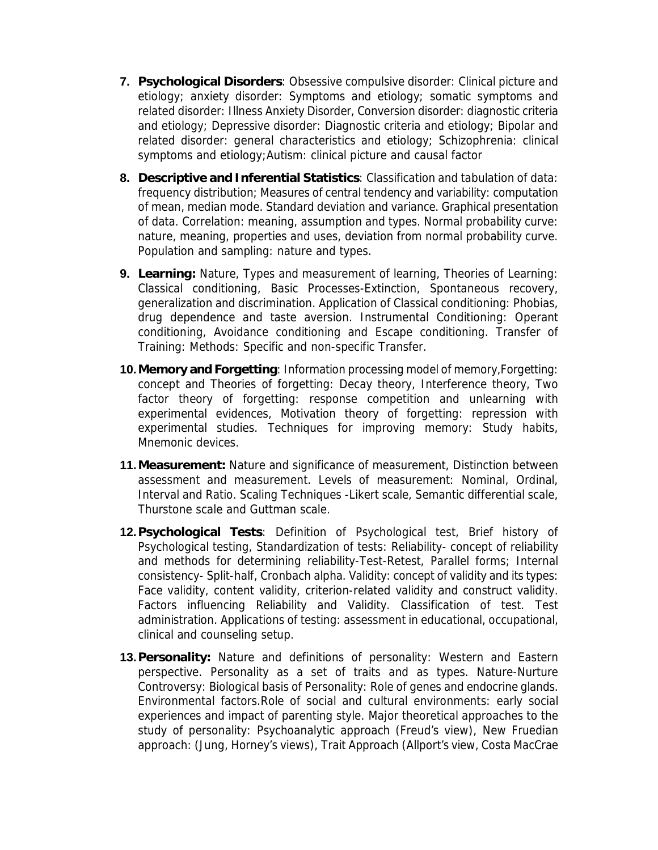- **7. Psychological Disorders**: Obsessive compulsive disorder: Clinical picture and etiology; anxiety disorder: Symptoms and etiology; somatic symptoms and related disorder: Illness Anxiety Disorder, Conversion disorder: diagnostic criteria and etiology; Depressive disorder: Diagnostic criteria and etiology; Bipolar and related disorder: general characteristics and etiology; Schizophrenia: clinical symptoms and etiology;Autism: clinical picture and causal factor
- **8. Descriptive and Inferential Statistics**: Classification and tabulation of data: frequency distribution; Measures of central tendency and variability: computation of mean, median mode. Standard deviation and variance. Graphical presentation of data. Correlation: meaning, assumption and types. Normal probability curve: nature, meaning, properties and uses, deviation from normal probability curve. Population and sampling: nature and types.
- **9. Learning:** Nature, Types and measurement of learning, Theories of Learning: Classical conditioning, Basic Processes-Extinction, Spontaneous recovery, generalization and discrimination. Application of Classical conditioning: Phobias, drug dependence and taste aversion. Instrumental Conditioning: Operant conditioning, Avoidance conditioning and Escape conditioning. Transfer of Training: Methods: Specific and non-specific Transfer.
- **10. Memory and Forgetting**: Information processing model of memory,Forgetting: concept and Theories of forgetting: Decay theory, Interference theory, Two factor theory of forgetting: response competition and unlearning with experimental evidences, Motivation theory of forgetting: repression with experimental studies. Techniques for improving memory: Study habits, Mnemonic devices.
- **11. Measurement:** Nature and significance of measurement, Distinction between assessment and measurement. Levels of measurement: Nominal, Ordinal, Interval and Ratio. Scaling Techniques -Likert scale, Semantic differential scale, Thurstone scale and Guttman scale.
- **12. Psychological Tests**: Definition of Psychological test, Brief history of Psychological testing, Standardization of tests: Reliability- concept of reliability and methods for determining reliability-Test-Retest, Parallel forms; Internal consistency- Split-half, Cronbach alpha. Validity: concept of validity and its types: Face validity, content validity, criterion-related validity and construct validity. Factors influencing Reliability and Validity. Classification of test. Test administration. Applications of testing: assessment in educational, occupational, clinical and counseling setup.
- **13. Personality:** Nature and definitions of personality: Western and Eastern perspective. Personality as a set of traits and as types. Nature-Nurture Controversy: Biological basis of Personality: Role of genes and endocrine glands. Environmental factors.Role of social and cultural environments: early social experiences and impact of parenting style. Major theoretical approaches to the study of personality: Psychoanalytic approach (Freud's view), New Fruedian approach: (Jung, Horney's views), Trait Approach (Allport's view, Costa MacCrae